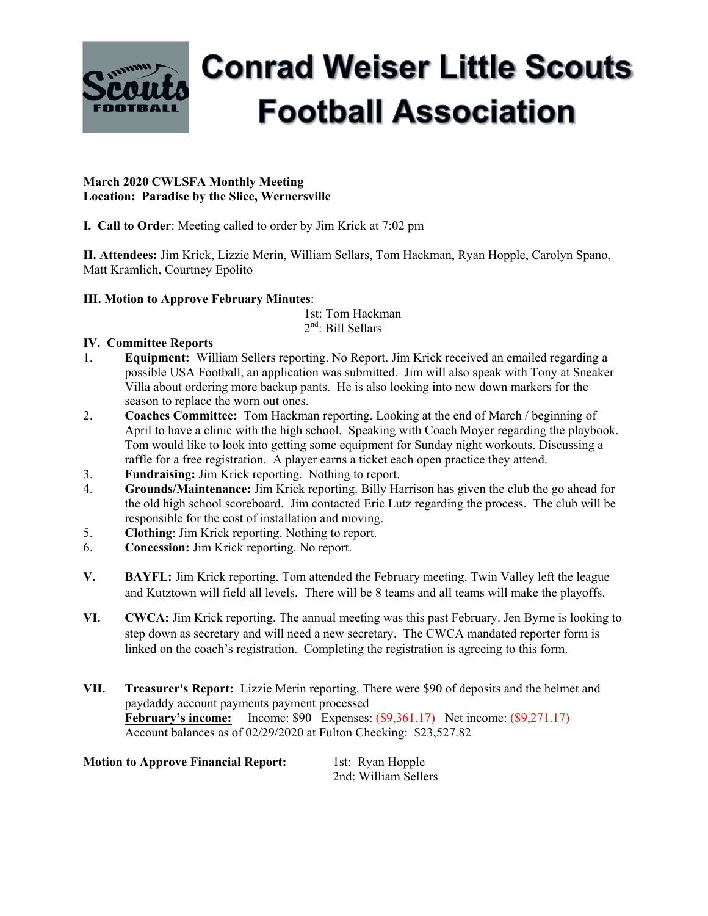

# **Conrad Weiser Little Scouts Football Association**

### **March 2020 CWLSFA Monthly Meeting Location: Paradise by the Slice, Wernersville**

**I. Call to Order**: Meeting called to order by Jim Krick at 7:02 pm

**II. Attendees:** Jim Krick, Lizzie Merin, William Sellars, Tom Hackman, Ryan Hopple, Carolyn Spano, Matt Kramlich, Courtney Epolito

## **III. Motion to Approve February Minutes**:

 1st: Tom Hackman 2nd: Bill Sellars

## **IV. Committee Reports**

- 1. **Equipment:** William Sellers reporting. No Report. Jim Krick received an emailed regarding a possible USA Football, an application was submitted. Jim will also speak with Tony at Sneaker Villa about ordering more backup pants. He is also looking into new down markers for the season to replace the worn out ones.
- 2. **Coaches Committee:** Tom Hackman reporting. Looking at the end of March / beginning of April to have a clinic with the high school. Speaking with Coach Moyer regarding the playbook. Tom would like to look into getting some equipment for Sunday night workouts. Discussing a raffle for a free registration. A player earns a ticket each open practice they attend.
- 3. **Fundraising:** Jim Krick reporting. Nothing to report.
- 4. **Grounds/Maintenance:** Jim Krick reporting. Billy Harrison has given the club the go ahead for the old high school scoreboard. Jim contacted Eric Lutz regarding the process. The club will be responsible for the cost of installation and moving.
- 5. **Clothing**: Jim Krick reporting. Nothing to report.
- 6. **Concession:** Jim Krick reporting. No report.
- **V. BAYFL:** Jim Krick reporting. Tom attended the February meeting. Twin Valley left the league and Kutztown will field all levels. There will be 8 teams and all teams will make the playoffs.
- **VI. CWCA:** Jim Krick reporting. The annual meeting was this past February. Jen Byrne is looking to step down as secretary and will need a new secretary. The CWCA mandated reporter form is linked on the coach's registration. Completing the registration is agreeing to this form.
- **VII. Treasurer's Report:** Lizzie Merin reporting. There were \$90 of deposits and the helmet and paydaddy account payments payment processed **February's income:** Income: \$90 Expenses: (\$9,361.17) Net income: (\$9,271.17) Account balances as of 02/29/2020 at Fulton Checking: \$23,527.82

**Motion to Approve Financial Report:** 1st: Ryan Hopple 2nd: William Sellers